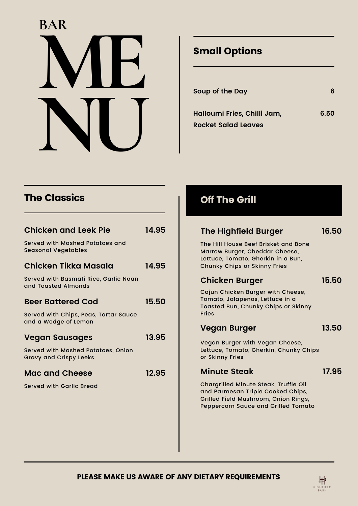# **ME NU BAR**

# Small Options

| Soup of the Day                                    |      |
|----------------------------------------------------|------|
| Halloumi Fries, Chilli Jam,<br>Rocket Salad Leaves | 6.50 |

## The Classics

| <b>Chicken and Leek Pie</b>                                         | 14.95 |
|---------------------------------------------------------------------|-------|
| Served with Mashed Potatoes and<br><b>Seasonal Vegetables</b>       |       |
| Chicken Tikka Masala                                                | 14.95 |
| Served with Basmati Rice, Garlic Naan<br>and Toasted Almonds        |       |
| <b>Beer Battered Cod</b>                                            | 15.50 |
| Served with Chips, Peas, Tartar Sauce<br>and a Wedge of Lemon       |       |
| <b>Vegan Sausages</b>                                               | 13.95 |
| Served with Mashed Potatoes, Onion<br><b>Gravy and Crispy Leeks</b> |       |
| <b>Mac and Cheese</b>                                               | 12.95 |
| Served with Garlic Bread                                            |       |
|                                                                     |       |
|                                                                     |       |

## Off The Grill

| <b>The Highfield Burger</b>                                                                                                                                      | 16.50 |
|------------------------------------------------------------------------------------------------------------------------------------------------------------------|-------|
| The Hill House Beef Brisket and Bone<br>Marrow Burger, Cheddar Cheese,<br>Lettuce, Tomato, Gherkin in a Bun,<br><b>Chunky Chips or Skinny Fries</b>              |       |
| <b>Chicken Burger</b>                                                                                                                                            | 15.50 |
| Cajun Chicken Burger with Cheese,<br>Tomato, Jalapenos, Lettuce in a<br>Toasted Bun, Chunky Chips or Skinny<br><b>Fries</b>                                      |       |
| <b>Vegan Burger</b>                                                                                                                                              | 13.50 |
| Vegan Burger with Vegan Cheese,<br>Lettuce, Tomato, Gherkin, Chunky Chips<br>or Skinny Fries                                                                     |       |
| <b>Minute Steak</b>                                                                                                                                              | 17.95 |
| Chargrilled Minute Steak, Truffle Oil<br>and Parmesan Triple Cooked Chips,<br>Grilled Field Mushroom, Onion Rings,<br><b>Peppercorn Sauce and Grilled Tomato</b> |       |